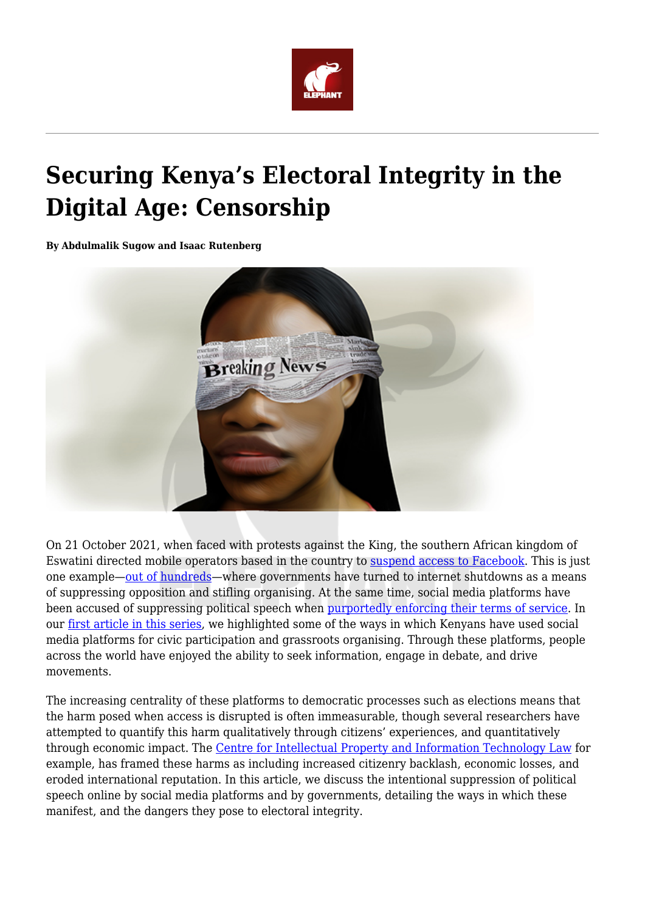

## **Securing Kenya's Electoral Integrity in the Digital Age: Censorship**

**By Abdulmalik Sugow and Isaac Rutenberg**



On 21 October 2021, when faced with protests against the King, the southern African kingdom of Eswatini directed mobile operators based in the country to [suspend access to Facebook](https://www.reuters.com/world/africa/southern-african-envoys-due-travel-eswatini-after-anti-monarchy-protests-2021-10-21/). This is just one example—[out of hundreds—](https://jigsaw.google.com/the-current/shutdown/)where governments have turned to internet shutdowns as a means of suppressing opposition and stifling organising. At the same time, social media platforms have been accused of suppressing political speech when [purportedly enforcing their terms of service](https://slate.com/technology/2020/08/social-media-content-moderation-african-nations.html). In our [first article in this series](https://www.theelephant.info/op-eds/2021/09/17/securing-kenyas-electoral-integrity-in-the-digital-age/), we highlighted some of the ways in which Kenyans have used social media platforms for civic participation and grassroots organising. Through these platforms, people across the world have enjoyed the ability to seek information, engage in debate, and drive movements.

The increasing centrality of these platforms to democratic processes such as elections means that the harm posed when access is disrupted is often immeasurable, though several researchers have attempted to quantify this harm qualitatively through citizens' experiences, and quantitatively through economic impact. The [Centre for Intellectual Property and Information Technology Law](https://www.activedimension.co.ke/cipit/wp-content/uploads/2020/05/Report_Intentional-Internet-Disruptions-in-Africa.pdf) for example, has framed these harms as including increased citizenry backlash, economic losses, and eroded international reputation. In this article, we discuss the intentional suppression of political speech online by social media platforms and by governments, detailing the ways in which these manifest, and the dangers they pose to electoral integrity.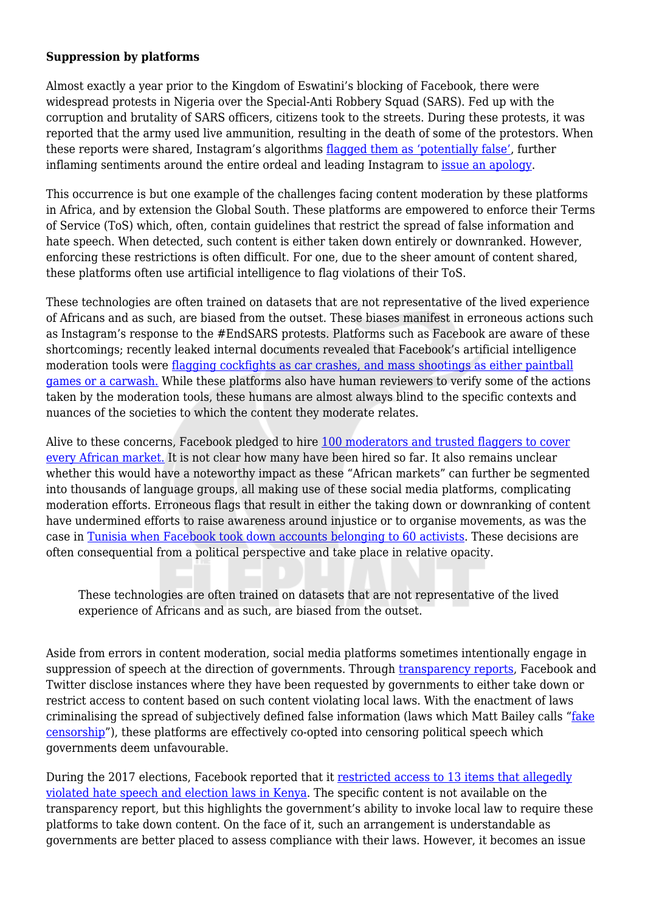## **Suppression by platforms**

Almost exactly a year prior to the Kingdom of Eswatini's blocking of Facebook, there were widespread protests in Nigeria over the Special-Anti Robbery Squad (SARS). Fed up with the corruption and brutality of SARS officers, citizens took to the streets. During these protests, it was reported that the army used live ammunition, resulting in the death of some of the protestors. When these reports were shared, Instagram's algorithms [flagged them as 'potentially false'](https://africanarguments.org/2020/10/endsars-fake-news-is-instagram-equipped-to-police-the-internet/), further inflaming sentiments around the entire ordeal and leading Instagram to [issue an apology](https://www.cbsnews.com/news/nigeria-endsars-protest-apologizes/).

This occurrence is but one example of the challenges facing content moderation by these platforms in Africa, and by extension the Global South. These platforms are empowered to enforce their Terms of Service (ToS) which, often, contain guidelines that restrict the spread of false information and hate speech. When detected, such content is either taken down entirely or downranked. However, enforcing these restrictions is often difficult. For one, due to the sheer amount of content shared, these platforms often use artificial intelligence to flag violations of their ToS.

These technologies are often trained on datasets that are not representative of the lived experience of Africans and as such, are biased from the outset. These biases manifest in erroneous actions such as Instagram's response to the #EndSARS protests. Platforms such as Facebook are aware of these shortcomings; recently leaked internal documents revealed that Facebook's artificial intelligence moderation tools were [flagging cockfights as car crashes, and mass shootings as either paintball](https://arstechnica.com/tech-policy/2021/10/facebook-ai-moderator-confused-videos-of-mass-shootings-and-car-washes/) [games or a carwash.](https://arstechnica.com/tech-policy/2021/10/facebook-ai-moderator-confused-videos-of-mass-shootings-and-car-washes/) While these platforms also have human reviewers to verify some of the actions taken by the moderation tools, these humans are almost always blind to the specific contexts and nuances of the societies to which the content they moderate relates.

Alive to these concerns, Facebook pledged to hire [100 moderators and trusted flaggers to cover](https://www.cima.ned.org/blog/uprooting-hate-speech-the-challenging-task-of-content-moderation-in-ethiopia/) [every African market.](https://www.cima.ned.org/blog/uprooting-hate-speech-the-challenging-task-of-content-moderation-in-ethiopia/) It is not clear how many have been hired so far. It also remains unclear whether this would have a noteworthy impact as these "African markets" can further be segmented into thousands of language groups, all making use of these social media platforms, complicating moderation efforts. Erroneous flags that result in either the taking down or downranking of content have undermined efforts to raise awareness around injustice or to organise movements, as was the case in [Tunisia when Facebook took down accounts belonging to 60 activists.](https://slate.com/technology/2020/08/social-media-content-moderation-african-nations.html) These decisions are often consequential from a political perspective and take place in relative opacity.

These technologies are often trained on datasets that are not representative of the lived experience of Africans and as such, are biased from the outset.

Aside from errors in content moderation, social media platforms sometimes intentionally engage in suppression of speech at the direction of governments. Through [transparency reports](https://transparency.fb.com/data/content-restrictions/), Facebook and Twitter disclose instances where they have been requested by governments to either take down or restrict access to content based on such content violating local laws. With the enactment of laws criminalising the spread of subjectively defined false information (laws which Matt Bailey calls "[fake](https://techpolicy.press/fake-news-meet-fake-censorship/) [censorship](https://techpolicy.press/fake-news-meet-fake-censorship/)"), these platforms are effectively co-opted into censoring political speech which governments deem unfavourable.

During the 2017 elections, Facebook reported that it [restricted access to 13 items that allegedly](https://transparency.fb.com/data/content-restrictions/country/KE/) [violated hate speech and election laws in Kenya](https://transparency.fb.com/data/content-restrictions/country/KE/). The specific content is not available on the transparency report, but this highlights the government's ability to invoke local law to require these platforms to take down content. On the face of it, such an arrangement is understandable as governments are better placed to assess compliance with their laws. However, it becomes an issue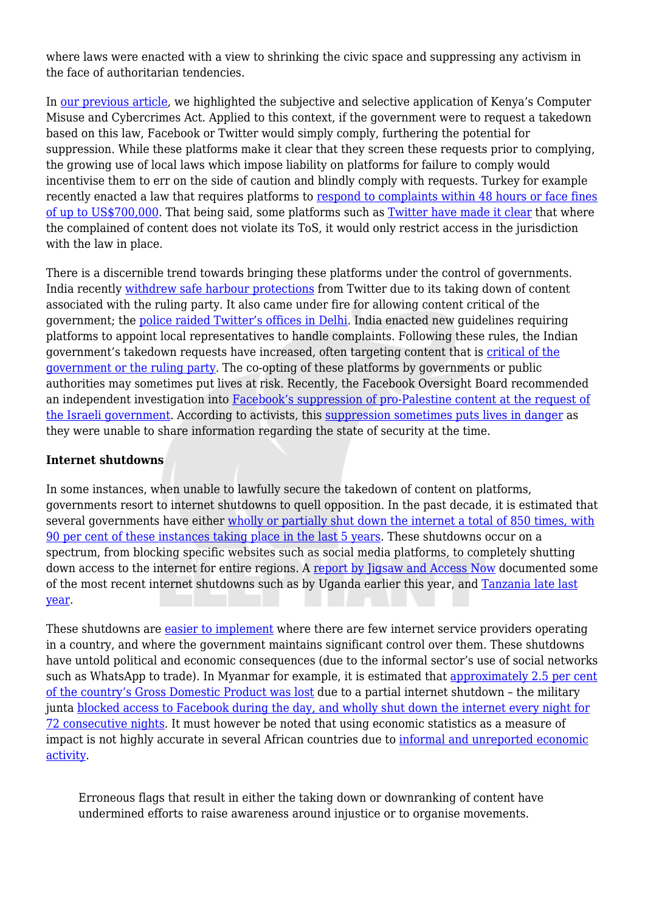where laws were enacted with a view to shrinking the civic space and suppressing any activism in the face of authoritarian tendencies.

In [our previous article,](https://www.theelephant.info/features/2021/10/22/securing-kenyas-electoral-integrity-regulating-truth/) we highlighted the subjective and selective application of Kenya's Computer Misuse and Cybercrimes Act. Applied to this context, if the government were to request a takedown based on this law, Facebook or Twitter would simply comply, furthering the potential for suppression. While these platforms make it clear that they screen these requests prior to complying, the growing use of local laws which impose liability on platforms for failure to comply would incentivise them to err on the side of caution and blindly comply with requests. Turkey for example recently enacted a law that requires platforms to [respond to complaints within 48 hours or face fines](https://asiatimes.com/2020/09/silence-descends-on-social-media-in-turkey/) [of up to US\\$700,000.](https://asiatimes.com/2020/09/silence-descends-on-social-media-in-turkey/) That being said, some platforms such as [Twitter have made it clear](https://techcrunch.com/2021/06/07/twitter-restricts-accounts-in-india-to-comply-with-government-legal-request/) that where the complained of content does not violate its ToS, it would only restrict access in the jurisdiction with the law in place.

There is a discernible trend towards bringing these platforms under the control of governments. India recently [withdrew safe harbour protections](https://indianexpress.com/article/technology/tech-news-technology/govt-decides-twitter-no-longer-enjoys-safe-harbour-protection-7380265/) from Twitter due to its taking down of content associated with the ruling party. It also came under fire for allowing content critical of the government; the [police raided Twitter's offices in Delhi.](https://scroll.in/article/999171/why-is-the-government-of-india-at-war-with-twitter) India enacted new guidelines requiring platforms to appoint local representatives to handle complaints. Following these rules, the Indian government's takedown requests have increased, often targeting content that is [critical of the](https://techcrunch.com/2021/06/07/twitter-restricts-accounts-in-india-to-comply-with-government-legal-request/) [government or the ruling party](https://techcrunch.com/2021/06/07/twitter-restricts-accounts-in-india-to-comply-with-government-legal-request/). The co-opting of these platforms by governments or public authorities may sometimes put lives at risk. Recently, the Facebook Oversight Board recommended an independent investigation into [Facebook's suppression of pro-Palestine content at the request of](https://www.middleeasteye.net/news/israel-palestine-facebook-investigation-social-media-posts-suppression) [the Israeli government](https://www.middleeasteye.net/news/israel-palestine-facebook-investigation-social-media-posts-suppression). According to activists, this [suppression sometimes puts lives in danger](https://www.middleeasteye.net/news/facebook-palestine-israel-oversight-board-bias-fix-not-fast) as they were unable to share information regarding the state of security at the time.

## **Internet shutdowns**

In some instances, when unable to lawfully secure the takedown of content on platforms, governments resort to internet shutdowns to quell opposition. In the past decade, it is estimated that several governments have either [wholly or partially shut down the internet a total of 850 times, with](https://jigsaw.google.com/the-current/shutdown/) [90 per cent of these instances taking place in the last 5 years](https://jigsaw.google.com/the-current/shutdown/). These shutdowns occur on a spectrum, from blocking specific websites such as social media platforms, to completely shutting down access to the internet for entire regions. A [report by Jigsaw and Access Now](https://jigsaw.google.com/the-current/shutdown/) documented some of the most recent internet shutdowns such as by Uganda earlier this year, and [Tanzania late last](https://www.accessnow.org/tanzania-internet-shutdowns-victim-stories/) [year.](https://www.accessnow.org/tanzania-internet-shutdowns-victim-stories/)

These shutdowns are **easier to implement** where there are few internet service providers operating in a country, and where the government maintains significant control over them. These shutdowns have untold political and economic consequences (due to the informal sector's use of social networks such as WhatsApp to trade). In Myanmar for example, it is estimated that [approximately 2.5 per cent](https://jigsaw.google.com/the-current/shutdown/) [of the country's Gross Domestic Product was lost](https://jigsaw.google.com/the-current/shutdown/) due to a partial internet shutdown – the military junta [blocked access to Facebook during the day, and wholly shut down the internet every night for](https://www.top10vpn.com/cost-of-internet-shutdowns/) [72 consecutive nights](https://www.top10vpn.com/cost-of-internet-shutdowns/). It must however be noted that using economic statistics as a measure of impact is not highly accurate in several African countries due to [informal and unreported economic](https://www.activedimension.co.ke/cipit/wp-content/uploads/2020/05/Report_Intentional-Internet-Disruptions-in-Africa.pdf) [activity](https://www.activedimension.co.ke/cipit/wp-content/uploads/2020/05/Report_Intentional-Internet-Disruptions-in-Africa.pdf).

Erroneous flags that result in either the taking down or downranking of content have undermined efforts to raise awareness around injustice or to organise movements.